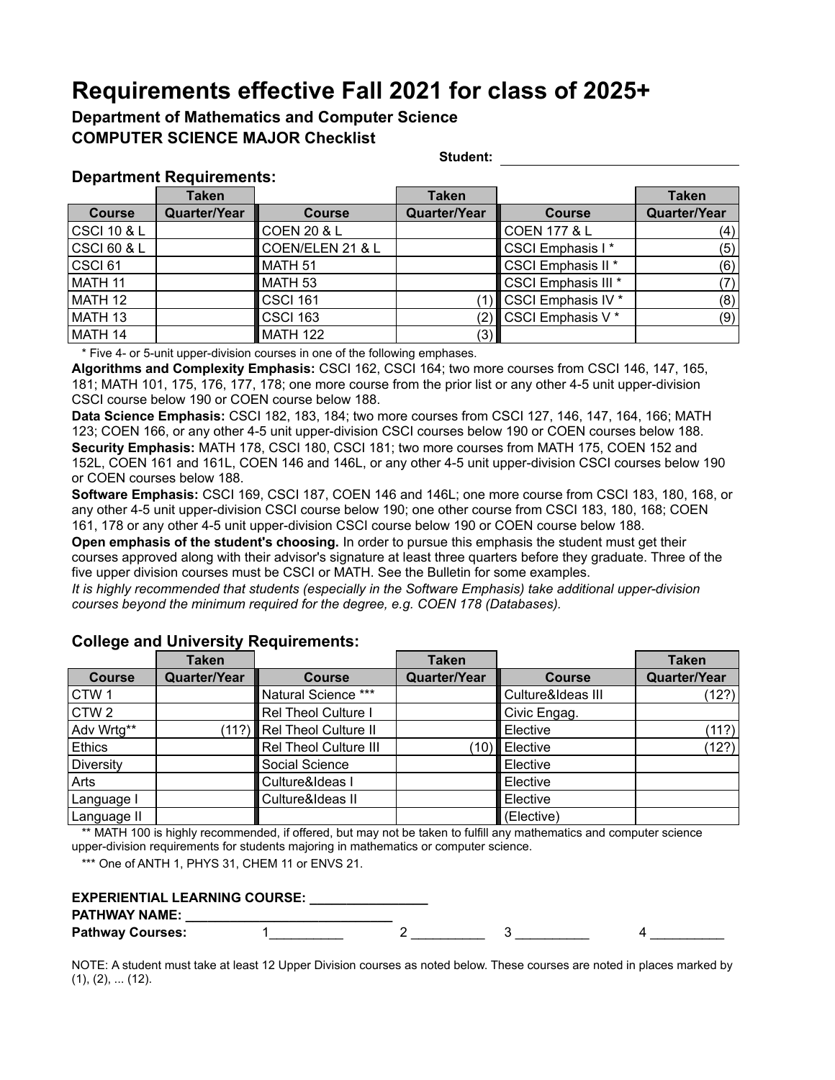## **Requirements effective Fall 2021 for class of 2025+**

### **Department of Mathematics and Computer Science COMPUTER SCIENCE MAJOR Checklist**

**Student:**

#### **Department Requirements:**

|               | <b>Taken</b>        |                        | <b>Taken</b> |                               | <b>Taken</b>        |
|---------------|---------------------|------------------------|--------------|-------------------------------|---------------------|
| <b>Course</b> | <b>Quarter/Year</b> | <b>Course</b>          | Quarter/Year | <b>Course</b>                 | <b>Quarter/Year</b> |
| CSCI 10 & L   |                     | <b>COEN 20 &amp; L</b> |              | <b>COEN 177 &amp; L</b>       | (4)                 |
| CSCI 60 & L   |                     | COEN/ELEN 21 & L       |              | CSCI Emphasis I*              | (5)                 |
| CSCI 61       |                     | MATH <sub>51</sub>     |              | CSCI Emphasis II <sup>*</sup> | (6)                 |
| MATH 11       |                     | MATH <sub>53</sub>     |              | CSCI Emphasis III *           | 7)                  |
| MATH 12       |                     | <b>CSCI 161</b>        |              | CSCI Emphasis IV *            | (8)                 |
| MATH 13       |                     | <b>CSCI 163</b>        | (2)          | CSCI Emphasis V <sup>*</sup>  | (9)                 |
| MATH 14       |                     | <b>MATH 122</b>        | (3)          |                               |                     |

\* Five 4- or 5-unit upper-division courses in one of the following emphases.

**Algorithms and Complexity Emphasis:** CSCI 162, CSCI 164; two more courses from CSCI 146, 147, 165, 181; MATH 101, 175, 176, 177, 178; one more course from the prior list or any other 4-5 unit upper-division CSCI course below 190 or COEN course below 188.

**Data Science Emphasis:** CSCI 182, 183, 184; two more courses from CSCI 127, 146, 147, 164, 166; MATH 123; COEN 166, or any other 4-5 unit upper-division CSCI courses below 190 or COEN courses below 188. **Security Emphasis:** MATH 178, CSCI 180, CSCI 181; two more courses from MATH 175, COEN 152 and 152L, COEN 161 and 161L, COEN 146 and 146L, or any other 4-5 unit upper-division CSCI courses below 190 or COEN courses below 188.

**Software Emphasis:** CSCI 169, CSCI 187, COEN 146 and 146L; one more course from CSCI 183, 180, 168, or any other 4-5 unit upper-division CSCI course below 190; one other course from CSCI 183, 180, 168; COEN 161, 178 or any other 4-5 unit upper-division CSCI course below 190 or COEN course below 188.

**Open emphasis of the student's choosing.** In order to pursue this emphasis the student must get their courses approved along with their advisor's signature at least three quarters before they graduate. Three of the five upper division courses must be CSCI or MATH. See the Bulletin for some examples.

*It is highly recommended that students (especially in the Software Emphasis) take additional upper-division courses beyond the minimum required for the degree, e.g. COEN 178 (Databases).* 

|                  | <b>Taken</b>        |                            | <b>Taken</b>        |                   | <b>Taken</b>        |
|------------------|---------------------|----------------------------|---------------------|-------------------|---------------------|
| <b>Course</b>    | <b>Quarter/Year</b> | <b>Course</b>              | <b>Quarter/Year</b> | <b>Course</b>     | <b>Quarter/Year</b> |
| CTW <sub>1</sub> |                     | Natural Science ***        |                     | Culture&Ideas III | (12?)               |
| CTW <sub>2</sub> |                     | Rel Theol Culture I        |                     | Civic Engag.      |                     |
| Adv Wrtg**       |                     | (11?) Rel Theol Culture II |                     | Elective          | (11?)               |
| Ethics           |                     | Rel Theol Culture III      | (10)                | Elective          | (12?)               |
| Diversity        |                     | Social Science             |                     | Elective          |                     |
| Arts             |                     | Culture&Ideas I            |                     | Elective          |                     |
| Language I       |                     | Culture&Ideas II           |                     | Elective          |                     |
| Language II      |                     |                            |                     | (Elective)        |                     |

#### **College and University Requirements:**

\*\* MATH 100 is highly recommended, if offered, but may not be taken to fulfill any mathematics and computer science upper-division requirements for students majoring in mathematics or computer science.

\*\*\* One of ANTH 1, PHYS 31, CHEM 11 or ENVS 21.

| <b>EXPERIENTIAL LEARNING COURSE:</b> |  |
|--------------------------------------|--|
| <b>PATHWAY NAME:</b>                 |  |

| <b>Pathway Courses:</b> |  |  |
|-------------------------|--|--|
|                         |  |  |
|                         |  |  |

NOTE: A student must take at least 12 Upper Division courses as noted below. These courses are noted in places marked by (1), (2), ... (12).